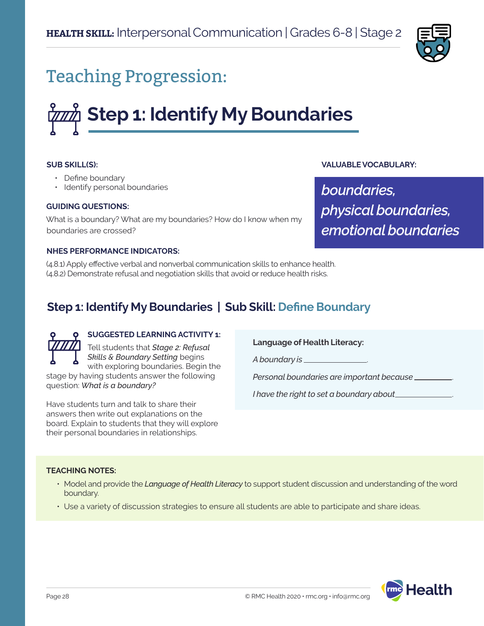

## Teaching Progression:

# **Step 1: Identify My Boundaries**

## **SUB SKILL(S):**

- Define boundary
- Identify personal boundaries

## **GUIDING QUESTIONS:**

What is a boundary? What are my boundaries? How do I know when my boundaries are crossed?

## **VALUABLE VOCABULARY:**

*boundaries, physical boundaries, emotional boundaries*

#### **NHES PERFORMANCE INDICATORS:**

(4.8.1) Apply effective verbal and nonverbal communication skills to enhance health. (4.8.2) Demonstrate refusal and negotiation skills that avoid or reduce health risks.

## **Step 1: Identify My Boundaries | Sub Skill: Define Boundary**



## **SUGGESTED LEARNING ACTIVITY 1:**

Tell students that *Stage 2: Refusal Skills & Boundary Setting* begins with exploring boundaries. Begin the stage by having students answer the following question: *What is a boundary?*

Have students turn and talk to share their answers then write out explanations on the board. Explain to students that they will explore their personal boundaries in relationships.

#### **Language of Health Literacy:**

*A boundary is* .

*Personal boundaries are important because* .

*I have the right to set a boundary about* 

#### **TEACHING NOTES:**

- Model and provide the *Language of Health Literacy* to support student discussion and understanding of the word boundary.
- Use a variety of discussion strategies to ensure all students are able to participate and share ideas.

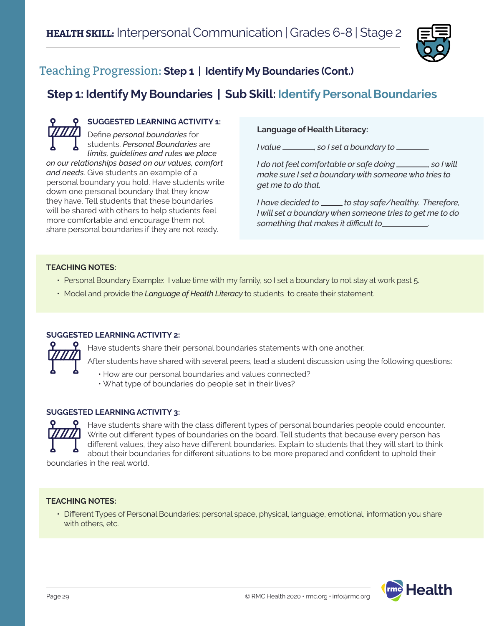

## Teaching Progression: **Step 1 | Identify My Boundaries (Cont.)**

## **Step 1: Identify My Boundaries | Sub Skill: Identify Personal Boundaries**

**SUGGESTED LEARNING ACTIVITY 1:** Define *personal boundaries* for students. *Personal Boundaries* are *limits, guidelines and rules we place on our relationships based on our values, comfort and needs.* Give students an example of a personal boundary you hold. Have students write down one personal boundary that they know they have. Tell students that these boundaries will be shared with others to help students feel more comfortable and encourage them not share personal boundaries if they are not ready.

## **Language of Health Literacy:**

*I value , so I set a boundary to* .

*I* do not feel comfortable or safe doing *\_\_\_\_\_\_*, so I will *make sure I set a boundary with someone who tries to get me to do that.* 

*I have decided to \_\_\_\_\_ to stay safe/healthy. Therefore, I will set a boundary when someone tries to get me to do something that makes it difficult to* .

## **TEACHING NOTES:**

- Personal Boundary Example: I value time with my family, so I set a boundary to not stay at work past 5.
- Model and provide the *Language of Health Literacy* to students to create their statement.

## **SUGGESTED LEARNING ACTIVITY 2:**



Have students share their personal boundaries statements with one another.

After students have shared with several peers, lead a student discussion using the following questions:

• How are our personal boundaries and values connected? • What type of boundaries do people set in their lives?

## **SUGGESTED LEARNING ACTIVITY 3:**



Have students share with the class different types of personal boundaries people could encounter. Write out different types of boundaries on the board. Tell students that because every person has different values, they also have different boundaries. Explain to students that they will start to think about their boundaries for different situations to be more prepared and confident to uphold their

boundaries in the real world.

## **TEACHING NOTES:**

• Different Types of Personal Boundaries: personal space, physical, language, emotional, information you share with others, etc.